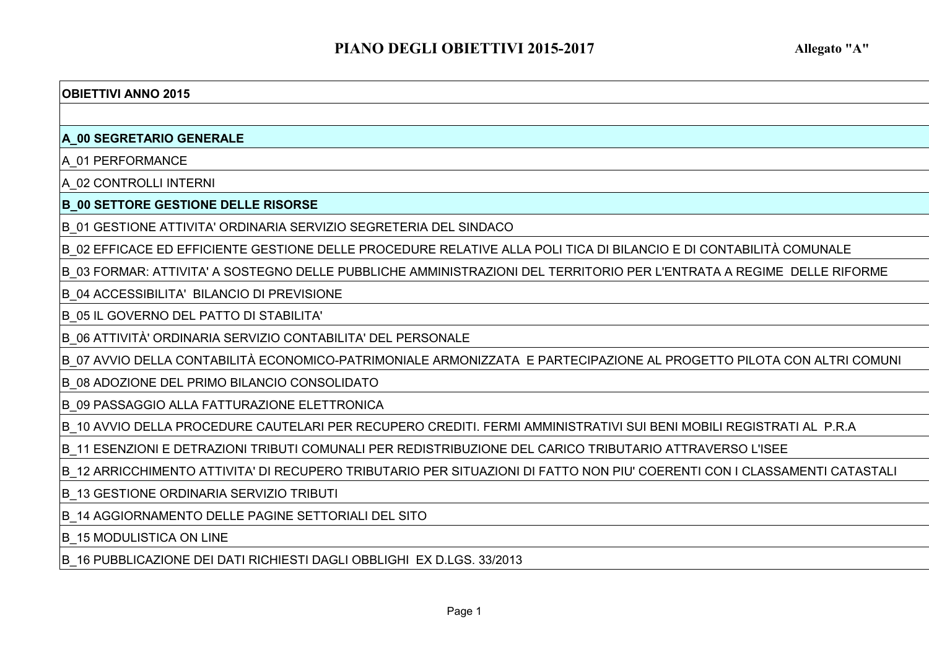#### **OBIETTIVI ANNO 2015**

#### **A\_00 SEGRETARIO GENERALE**

A\_01 PERFORMANCE

A\_02 CONTROLLI INTERNI

**B\_00 SETTORE GESTIONE DELLE RISORSE**

B\_01 GESTIONE ATTIVITA' ORDINARIA SERVIZIO SEGRETERIA DEL SINDACO

B\_02 EFFICACE ED EFFICIENTE GESTIONE DELLE PROCEDURE RELATIVE ALLA POLI TICA DI BILANCIO E DI CONTABILITÀ COMUNALE

B\_03 FORMAR: ATTIVITA' A SOSTEGNO DELLE PUBBLICHE AMMINISTRAZIONI DEL TERRITORIO PER L'ENTRATA A REGIME DELLE RIFORME

B\_04 ACCESSIBILITA' BILANCIO DI PREVISIONE

B\_05 IL GOVERNO DEL PATTO DI STABILITA'

B\_06 ATTIVITÀ' ORDINARIA SERVIZIO CONTABILITA' DEL PERSONALE

B\_07 AVVIO DELLA CONTABILITÀ ECONOMICO-PATRIMONIALE ARMONIZZATA E PARTECIPAZIONE AL PROGETTO PILOTA CON ALTRI COMUNI

B\_08 ADOZIONE DEL PRIMO BILANCIO CONSOLIDATO

B\_09 PASSAGGIO ALLA FATTURAZIONE ELETTRONICA

B\_10 AVVIO DELLA PROCEDURE CAUTELARI PER RECUPERO CREDITI. FERMI AMMINISTRATIVI SUI BENI MOBILI REGISTRATI AL P.R.A

B\_11 ESENZIONI E DETRAZIONI TRIBUTI COMUNALI PER REDISTRIBUZIONE DEL CARICO TRIBUTARIO ATTRAVERSO L'ISEE

B\_12 ARRICCHIMENTO ATTIVITA' DI RECUPERO TRIBUTARIO PER SITUAZIONI DI FATTO NON PIU' COERENTI CON I CLASSAMENTI CATASTALI

B\_13 GESTIONE ORDINARIA SERVIZIO TRIBUTI

B\_14 AGGIORNAMENTO DELLE PAGINE SETTORIALI DEL SITO

**B\_15 MODULISTICA ON LINE** 

B\_16 PUBBLICAZIONE DEI DATI RICHIESTI DAGLI OBBLIGHI EX D.LGS. 33/2013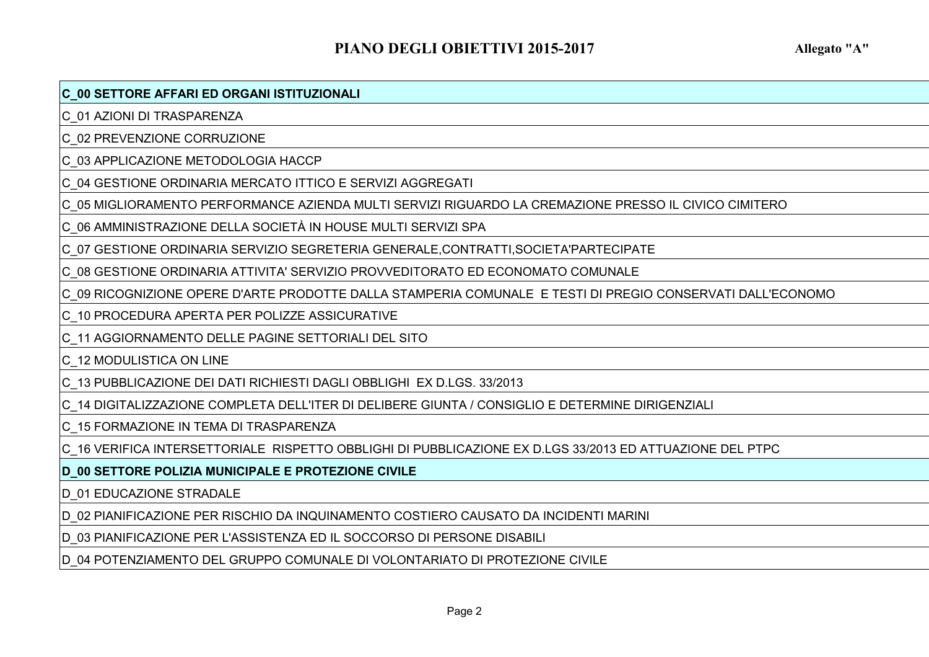### **C\_00 SETTORE AFFARI ED ORGANI ISTITUZIONALI**

C\_01 AZIONI DI TRASPARENZA

C\_02 PREVENZIONE CORRUZIONE

C\_03 APPLICAZIONE METODOLOGIA HACCP

C\_04 GESTIONE ORDINARIA MERCATO ITTICO E SERVIZI AGGREGATI

C\_05 MIGLIORAMENTO PERFORMANCE AZIENDA MULTI SERVIZI RIGUARDO LA CREMAZIONE PRESSO IL CIVICO CIMITERO

C\_06 AMMINISTRAZIONE DELLA SOCIETÀ IN HOUSE MULTI SERVIZI SPA

C\_07 GESTIONE ORDINARIA SERVIZIO SEGRETERIA GENERALE,CONTRATTI,SOCIETA'PARTECIPATE

C\_08 GESTIONE ORDINARIA ATTIVITA' SERVIZIO PROVVEDITORATO ED ECONOMATO COMUNALE

C\_09 RICOGNIZIONE OPERE D'ARTE PRODOTTE DALLA STAMPERIA COMUNALE E TESTI DI PREGIO CONSERVATI DALL'ECONOMO

C\_10 PROCEDURA APERTA PER POLIZZE ASSICURATIVE

C\_11 AGGIORNAMENTO DELLE PAGINE SETTORIALI DEL SITO

C\_12 MODULISTICA ON LINE

C\_13 PUBBLICAZIONE DEI DATI RICHIESTI DAGLI OBBLIGHI EX D.LGS. 33/2013

C\_14 DIGITALIZZAZIONE COMPLETA DELL'ITER DI DELIBERE GIUNTA / CONSIGLIO E DETERMINE DIRIGENZIALI

C\_15 FORMAZIONE IN TEMA DI TRASPARENZA

C\_16 VERIFICA INTERSETTORIALE RISPETTO OBBLIGHI DI PUBBLICAZIONE EX D.LGS 33/2013 ED ATTUAZIONE DEL PTPC

**D\_00 SETTORE POLIZIA MUNICIPALE E PROTEZIONE CIVILE**

D\_01 EDUCAZIONE STRADALE

D\_02 PIANIFICAZIONE PER RISCHIO DA INQUINAMENTO COSTIERO CAUSATO DA INCIDENTI MARINI

D\_03 PIANIFICAZIONE PER L'ASSISTENZA ED IL SOCCORSO DI PERSONE DISABILI

D\_04 POTENZIAMENTO DEL GRUPPO COMUNALE DI VOLONTARIATO DI PROTEZIONE CIVILE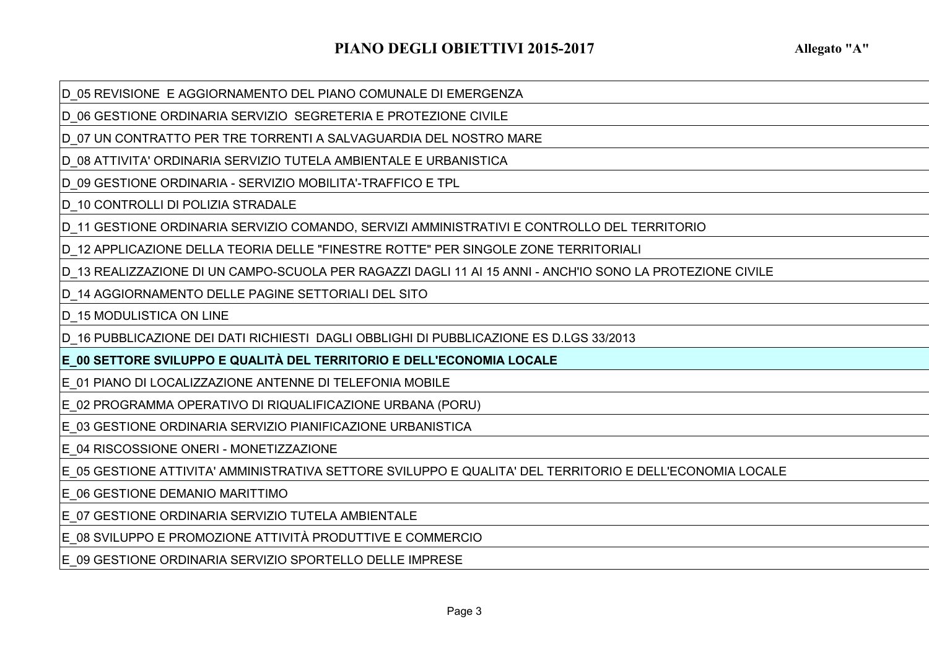D\_05 REVISIONE E AGGIORNAMENTO DEL PIANO COMUNALE DI EMERGENZA

D\_06 GESTIONE ORDINARIA SERVIZIO SEGRETERIA E PROTEZIONE CIVILE

D\_07 UN CONTRATTO PER TRE TORRENTI A SALVAGUARDIA DEL NOSTRO MARE

D\_08 ATTIVITA' ORDINARIA SERVIZIO TUTELA AMBIENTALE E URBANISTICA

D\_09 GESTIONE ORDINARIA - SERVIZIO MOBILITA'-TRAFFICO E TPL

D 10 CONTROLLI DI POLIZIA STRADALE

D\_11 GESTIONE ORDINARIA SERVIZIO COMANDO, SERVIZI AMMINISTRATIVI E CONTROLLO DEL TERRITORIO

D\_12 APPLICAZIONE DELLA TEORIA DELLE "FINESTRE ROTTE" PER SINGOLE ZONE TERRITORIALI

D\_13 REALIZZAZIONE DI UN CAMPO-SCUOLA PER RAGAZZI DAGLI 11 AI 15 ANNI - ANCH'IO SONO LA PROTEZIONE CIVILE

D\_14 AGGIORNAMENTO DELLE PAGINE SETTORIALI DEL SITO

D 15 MODULISTICA ON LINE

D\_16 PUBBLICAZIONE DEI DATI RICHIESTI DAGLI OBBLIGHI DI PUBBLICAZIONE ES D.LGS 33/2013

**E\_00 SETTORE SVILUPPO E QUALITÀ DEL TERRITORIO E DELL'ECONOMIA LOCALE**

E\_01 PIANO DI LOCALIZZAZIONE ANTENNE DI TELEFONIA MOBILE

E\_02 PROGRAMMA OPERATIVO DI RIQUALIFICAZIONE URBANA (PORU)

E\_03 GESTIONE ORDINARIA SERVIZIO PIANIFICAZIONE URBANISTICA

E\_04 RISCOSSIONE ONERI - MONETIZZAZIONE

E\_05 GESTIONE ATTIVITA' AMMINISTRATIVA SETTORE SVILUPPO E QUALITA' DEL TERRITORIO E DELL'ECONOMIA LOCALE

E\_06 GESTIONE DEMANIO MARITTIMO

E\_07 GESTIONE ORDINARIA SERVIZIO TUTELA AMBIENTALE

E\_08 SVILUPPO E PROMOZIONE ATTIVITÀ PRODUTTIVE E COMMERCIO

E\_09 GESTIONE ORDINARIA SERVIZIO SPORTELLO DELLE IMPRESE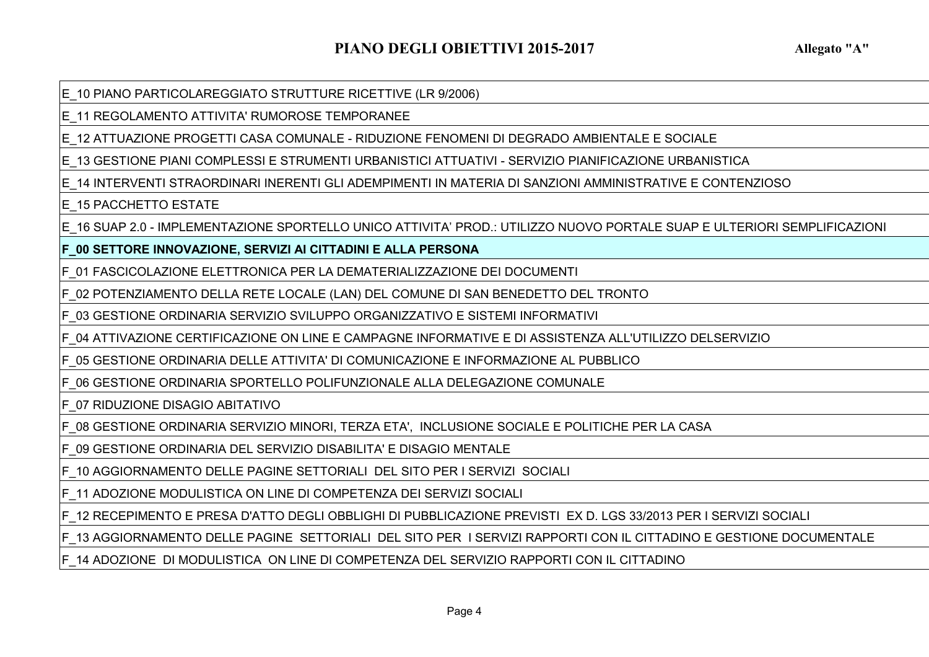E\_10 PIANO PARTICOLAREGGIATO STRUTTURE RICETTIVE (LR 9/2006)

E\_11 REGOLAMENTO ATTIVITA' RUMOROSE TEMPORANEE

E\_12 ATTUAZIONE PROGETTI CASA COMUNALE - RIDUZIONE FENOMENI DI DEGRADO AMBIENTALE E SOCIALE

E\_13 GESTIONE PIANI COMPLESSI E STRUMENTI URBANISTICI ATTUATIVI - SERVIZIO PIANIFICAZIONE URBANISTICA

E\_14 INTERVENTI STRAORDINARI INERENTI GLI ADEMPIMENTI IN MATERIA DI SANZIONI AMMINISTRATIVE E CONTENZIOSO

E\_15 PACCHETTO ESTATE

E\_16 SUAP 2.0 - IMPLEMENTAZIONE SPORTELLO UNICO ATTIVITA' PROD.: UTILIZZO NUOVO PORTALE SUAP E ULTERIORI SEMPLIFICAZIONI

**F\_00 SETTORE INNOVAZIONE, SERVIZI AI CITTADINI E ALLA PERSONA**

F\_01 FASCICOLAZIONE ELETTRONICA PER LA DEMATERIALIZZAZIONE DEI DOCUMENTI

F\_02 POTENZIAMENTO DELLA RETE LOCALE (LAN) DEL COMUNE DI SAN BENEDETTO DEL TRONTO

F\_03 GESTIONE ORDINARIA SERVIZIO SVILUPPO ORGANIZZATIVO E SISTEMI INFORMATIVI

F\_04 ATTIVAZIONE CERTIFICAZIONE ON LINE E CAMPAGNE INFORMATIVE E DI ASSISTENZA ALL'UTILIZZO DELSERVIZIO

F\_05 GESTIONE ORDINARIA DELLE ATTIVITA' DI COMUNICAZIONE E INFORMAZIONE AL PUBBLICO

F\_06 GESTIONE ORDINARIA SPORTELLO POLIFUNZIONALE ALLA DELEGAZIONE COMUNALE

F\_07 RIDUZIONE DISAGIO ABITATIVO

F\_08 GESTIONE ORDINARIA SERVIZIO MINORI, TERZA ETA', INCLUSIONE SOCIALE E POLITICHE PER LA CASA

F\_09 GESTIONE ORDINARIA DEL SERVIZIO DISABILITA' E DISAGIO MENTALE

F\_10 AGGIORNAMENTO DELLE PAGINE SETTORIALI DEL SITO PER I SERVIZI SOCIALI

F\_11 ADOZIONE MODULISTICA ON LINE DI COMPETENZA DEI SERVIZI SOCIALI

F\_12 RECEPIMENTO E PRESA D'ATTO DEGLI OBBLIGHI DI PUBBLICAZIONE PREVISTI EX D. LGS 33/2013 PER I SERVIZI SOCIALI

F\_13 AGGIORNAMENTO DELLE PAGINE SETTORIALI DEL SITO PER I SERVIZI RAPPORTI CON IL CITTADINO E GESTIONE DOCUMENTALE

F\_14 ADOZIONE DI MODULISTICA ON LINE DI COMPETENZA DEL SERVIZIO RAPPORTI CON IL CITTADINO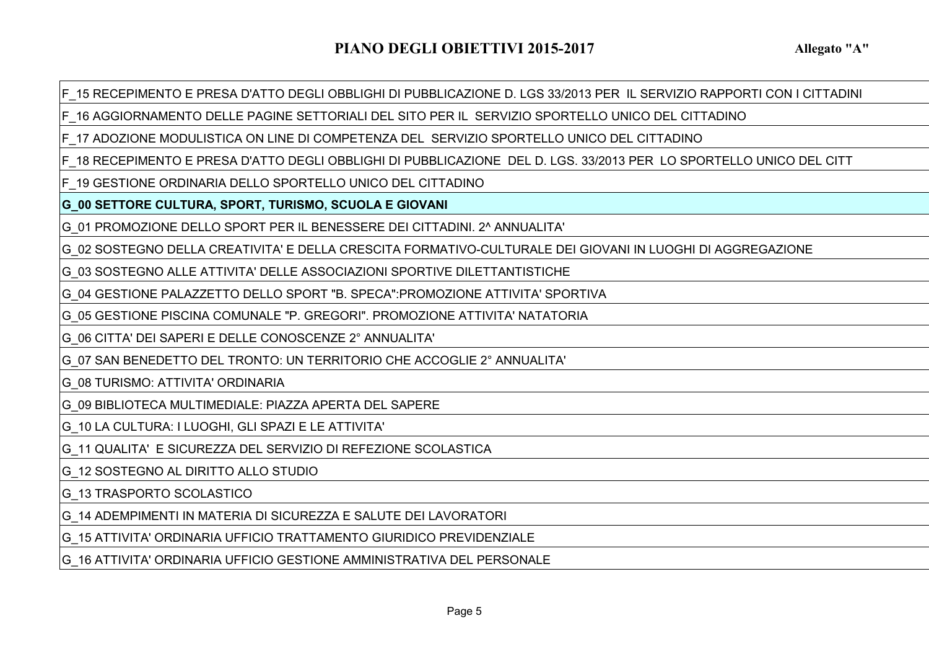F\_15 RECEPIMENTO E PRESA D'ATTO DEGLI OBBLIGHI DI PUBBLICAZIONE D. LGS 33/2013 PER IL SERVIZIO RAPPORTI CON I CITTADINI

F\_16 AGGIORNAMENTO DELLE PAGINE SETTORIALI DEL SITO PER IL SERVIZIO SPORTELLO UNICO DEL CITTADINO

F\_17 ADOZIONE MODULISTICA ON LINE DI COMPETENZA DEL SERVIZIO SPORTELLO UNICO DEL CITTADINO

F\_18 RECEPIMENTO E PRESA D'ATTO DEGLI OBBLIGHI DI PUBBLICAZIONE DEL D. LGS. 33/2013 PER LO SPORTELLO UNICO DEL CITT

F\_19 GESTIONE ORDINARIA DELLO SPORTELLO UNICO DEL CITTADINO

**G\_00 SETTORE CULTURA, SPORT, TURISMO, SCUOLA E GIOVANI**

G\_01 PROMOZIONE DELLO SPORT PER IL BENESSERE DEI CITTADINI. 2^ ANNUALITA'

G\_02 SOSTEGNO DELLA CREATIVITA' E DELLA CRESCITA FORMATIVO-CULTURALE DEI GIOVANI IN LUOGHI DI AGGREGAZIONE

G\_03 SOSTEGNO ALLE ATTIVITA' DELLE ASSOCIAZIONI SPORTIVE DILETTANTISTICHE

G\_04 GESTIONE PALAZZETTO DELLO SPORT "B. SPECA":PROMOZIONE ATTIVITA' SPORTIVA

G\_05 GESTIONE PISCINA COMUNALE "P. GREGORI". PROMOZIONE ATTIVITA' NATATORIA

G\_06 CITTA' DEI SAPERI E DELLE CONOSCENZE 2° ANNUALITA'

G\_07 SAN BENEDETTO DEL TRONTO: UN TERRITORIO CHE ACCOGLIE 2° ANNUALITA'

G\_08 TURISMO: ATTIVITA' ORDINARIA

G\_09 BIBLIOTECA MULTIMEDIALE: PIAZZA APERTA DEL SAPERE

G\_10 LA CULTURA: I LUOGHI, GLI SPAZI E LE ATTIVITA'

G\_11 QUALITA' E SICUREZZA DEL SERVIZIO DI REFEZIONE SCOLASTICA

G\_12 SOSTEGNO AL DIRITTO ALLO STUDIO

G\_13 TRASPORTO SCOLASTICO

G\_14 ADEMPIMENTI IN MATERIA DI SICUREZZA E SALUTE DEI LAVORATORI

G\_15 ATTIVITA' ORDINARIA UFFICIO TRATTAMENTO GIURIDICO PREVIDENZIALE

G\_16 ATTIVITA' ORDINARIA UFFICIO GESTIONE AMMINISTRATIVA DEL PERSONALE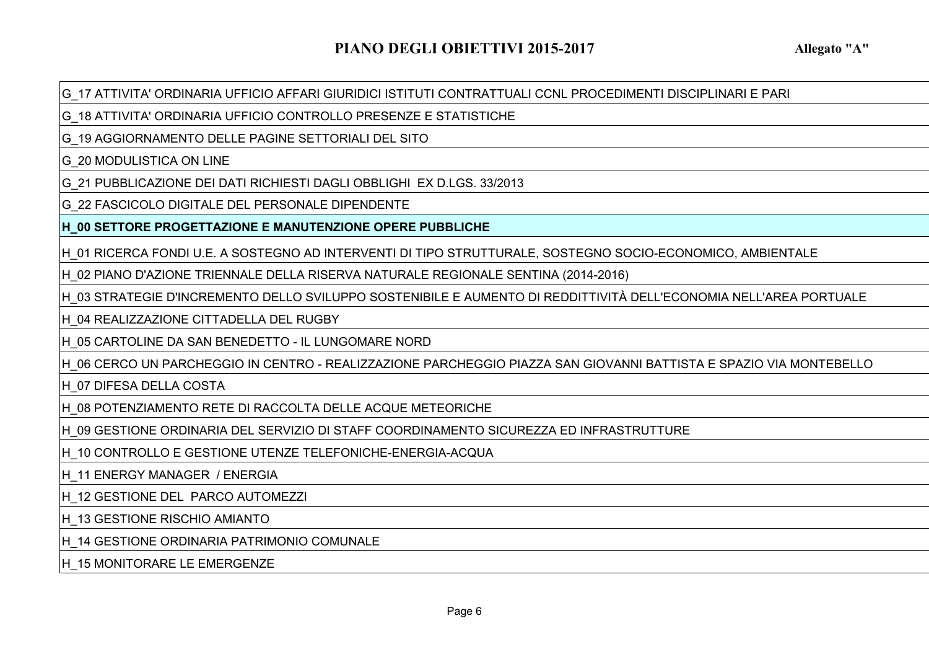G\_17 ATTIVITA' ORDINARIA UFFICIO AFFARI GIURIDICI ISTITUTI CONTRATTUALI CCNL PROCEDIMENTI DISCIPLINARI E PARI

G\_18 ATTIVITA' ORDINARIA UFFICIO CONTROLLO PRESENZE E STATISTICHE

G\_19 AGGIORNAMENTO DELLE PAGINE SETTORIALI DEL SITO

G\_20 MODULISTICA ON LINE

G\_21 PUBBLICAZIONE DEI DATI RICHIESTI DAGLI OBBLIGHI EX D.LGS. 33/2013

G\_22 FASCICOLO DIGITALE DEL PERSONALE DIPENDENTE

**H\_00 SETTORE PROGETTAZIONE E MANUTENZIONE OPERE PUBBLICHE**

H\_01 RICERCA FONDI U.E. A SOSTEGNO AD INTERVENTI DI TIPO STRUTTURALE, SOSTEGNO SOCIO-ECONOMICO, AMBIENTALE

H\_02 PIANO D'AZIONE TRIENNALE DELLA RISERVA NATURALE REGIONALE SENTINA (2014-2016)

H\_03 STRATEGIE D'INCREMENTO DELLO SVILUPPO SOSTENIBILE E AUMENTO DI REDDITTIVITÀ DELL'ECONOMIA NELL'AREA PORTUALE

H\_04 REALIZZAZIONE CITTADELLA DEL RUGBY

H\_05 CARTOLINE DA SAN BENEDETTO - IL LUNGOMARE NORD

H\_06 CERCO UN PARCHEGGIO IN CENTRO - REALIZZAZIONE PARCHEGGIO PIAZZA SAN GIOVANNI BATTISTA E SPAZIO VIA MONTEBELLO

H\_07 DIFESA DELLA COSTA

H\_08 POTENZIAMENTO RETE DI RACCOLTA DELLE ACQUE METEORICHE

H\_09 GESTIONE ORDINARIA DEL SERVIZIO DI STAFF COORDINAMENTO SICUREZZA ED INFRASTRUTTURE

H\_10 CONTROLLO E GESTIONE UTENZE TELEFONICHE-ENERGIA-ACQUA

H\_11 ENERGY MANAGER / ENERGIA

H\_12 GESTIONE DEL PARCO AUTOMEZZI

H\_13 GESTIONE RISCHIO AMIANTO

H\_14 GESTIONE ORDINARIA PATRIMONIO COMUNALE

H 15 MONITORARE LE EMERGENZE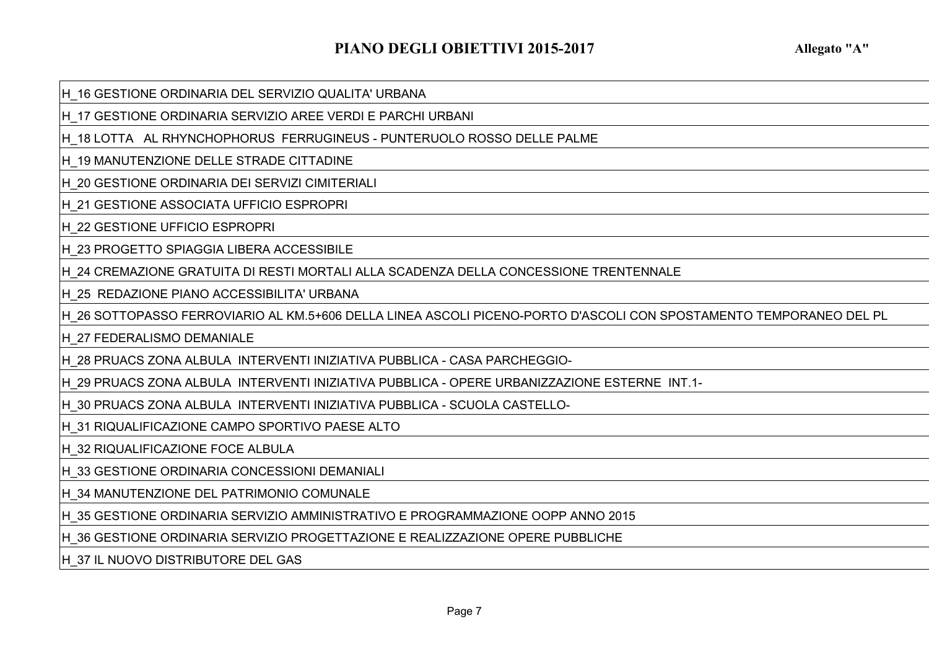H\_16 GESTIONE ORDINARIA DEL SERVIZIO QUALITA' URBANA

H\_17 GESTIONE ORDINARIA SERVIZIO AREE VERDI E PARCHI URBANI

H\_18 LOTTA AL RHYNCHOPHORUS FERRUGINEUS - PUNTERUOLO ROSSO DELLE PALME

H\_19 MANUTENZIONE DELLE STRADE CITTADINE

H\_20 GESTIONE ORDINARIA DEI SERVIZI CIMITERIALI

H\_21 GESTIONE ASSOCIATA UFFICIO ESPROPRI

H\_22 GESTIONE UFFICIO ESPROPRI

H\_23 PROGETTO SPIAGGIA LIBERA ACCESSIBILE

H\_24 CREMAZIONE GRATUITA DI RESTI MORTALI ALLA SCADENZA DELLA CONCESSIONE TRENTENNALE

H\_25 REDAZIONE PIANO ACCESSIBILITA' URBANA

H\_26 SOTTOPASSO FERROVIARIO AL KM.5+606 DELLA LINEA ASCOLI PICENO-PORTO D'ASCOLI CON SPOSTAMENTO TEMPORANEO DEL PL

H\_27 FEDERALISMO DEMANIALE

H\_28 PRUACS ZONA ALBULA INTERVENTI INIZIATIVA PUBBLICA - CASA PARCHEGGIO-

H\_29 PRUACS ZONA ALBULA INTERVENTI INIZIATIVA PUBBLICA - OPERE URBANIZZAZIONE ESTERNE INT.1-

H\_30 PRUACS ZONA ALBULA INTERVENTI INIZIATIVA PUBBLICA - SCUOLA CASTELLO-

H\_31 RIQUALIFICAZIONE CAMPO SPORTIVO PAESE ALTO

H\_32 RIQUALIFICAZIONE FOCE ALBULA

H\_33 GESTIONE ORDINARIA CONCESSIONI DEMANIALI

H\_34 MANUTENZIONE DEL PATRIMONIO COMUNALE

H\_35 GESTIONE ORDINARIA SERVIZIO AMMINISTRATIVO E PROGRAMMAZIONE OOPP ANNO 2015

H\_36 GESTIONE ORDINARIA SERVIZIO PROGETTAZIONE E REALIZZAZIONE OPERE PUBBLICHE

H\_37 IL NUOVO DISTRIBUTORE DEL GAS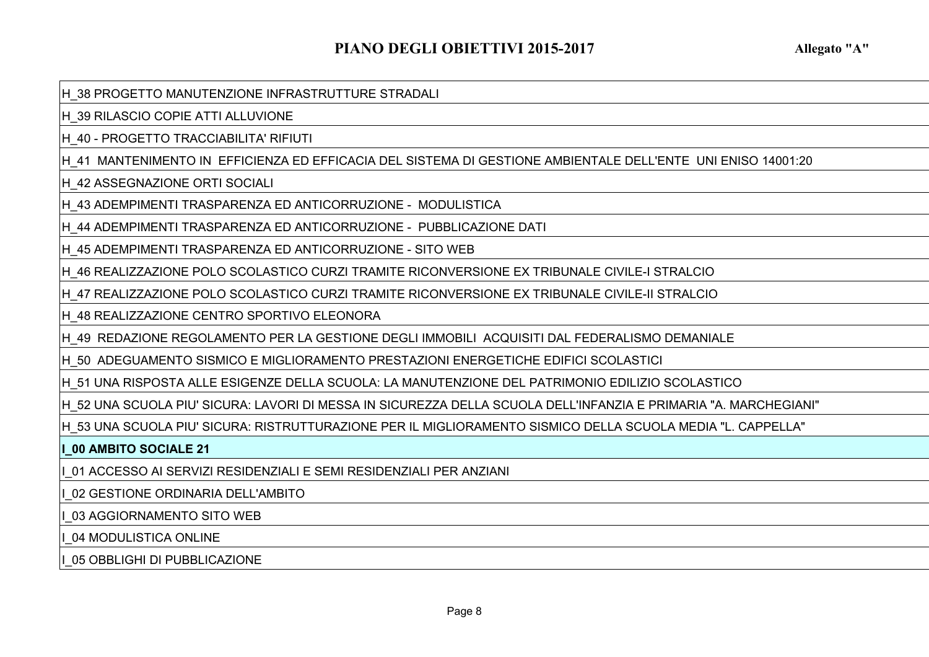H\_38 PROGETTO MANUTENZIONE INFRASTRUTTURE STRADALI

H\_39 RILASCIO COPIE ATTI ALLUVIONE

H\_40 - PROGETTO TRACCIABILITA' RIFIUTI

H\_41 MANTENIMENTO IN EFFICIENZA ED EFFICACIA DEL SISTEMA DI GESTIONE AMBIENTALE DELL'ENTE UNI ENISO 14001:20

H\_42 ASSEGNAZIONE ORTI SOCIALI

H\_43 ADEMPIMENTI TRASPARENZA ED ANTICORRUZIONE - MODULISTICA

H\_44 ADEMPIMENTI TRASPARENZA ED ANTICORRUZIONE - PUBBLICAZIONE DATI

H\_45 ADEMPIMENTI TRASPARENZA ED ANTICORRUZIONE - SITO WEB

H\_46 REALIZZAZIONE POLO SCOLASTICO CURZI TRAMITE RICONVERSIONE EX TRIBUNALE CIVILE-I STRALCIO

H\_47 REALIZZAZIONE POLO SCOLASTICO CURZI TRAMITE RICONVERSIONE EX TRIBUNALE CIVILE-II STRALCIO

H\_48 REALIZZAZIONE CENTRO SPORTIVO ELEONORA

H\_49 REDAZIONE REGOLAMENTO PER LA GESTIONE DEGLI IMMOBILI ACQUISITI DAL FEDERALISMO DEMANIALE

H\_50 ADEGUAMENTO SISMICO E MIGLIORAMENTO PRESTAZIONI ENERGETICHE EDIFICI SCOLASTICI

H\_51 UNA RISPOSTA ALLE ESIGENZE DELLA SCUOLA: LA MANUTENZIONE DEL PATRIMONIO EDILIZIO SCOLASTICO

H\_52 UNA SCUOLA PIU' SICURA: LAVORI DI MESSA IN SICUREZZA DELLA SCUOLA DELL'INFANZIA E PRIMARIA "A. MARCHEGIANI"

H\_53 UNA SCUOLA PIU' SICURA: RISTRUTTURAZIONE PER IL MIGLIORAMENTO SISMICO DELLA SCUOLA MEDIA "L. CAPPELLA"

**I\_00 AMBITO SOCIALE 21**

I\_01 ACCESSO AI SERVIZI RESIDENZIALI E SEMI RESIDENZIALI PER ANZIANI

I\_02 GESTIONE ORDINARIA DELL'AMBITO

I\_03 AGGIORNAMENTO SITO WEB

I\_04 MODULISTICA ONLINE

I\_05 OBBLIGHI DI PUBBLICAZIONE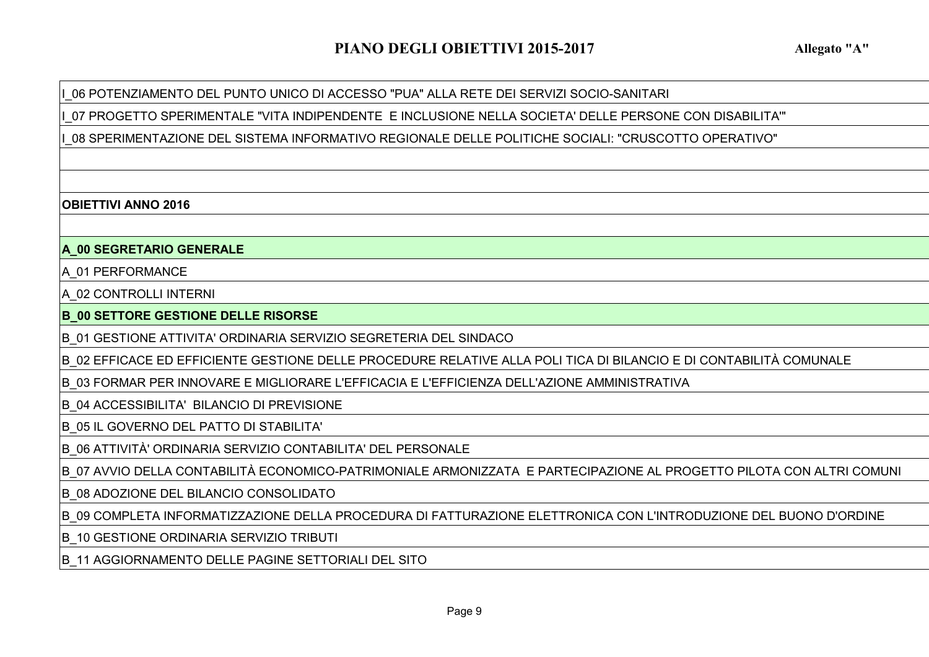I\_06 POTENZIAMENTO DEL PUNTO UNICO DI ACCESSO "PUA" ALLA RETE DEI SERVIZI SOCIO-SANITARI

I\_07 PROGETTO SPERIMENTALE "VITA INDIPENDENTE E INCLUSIONE NELLA SOCIETA' DELLE PERSONE CON DISABILITA'"

I\_08 SPERIMENTAZIONE DEL SISTEMA INFORMATIVO REGIONALE DELLE POLITICHE SOCIALI: "CRUSCOTTO OPERATIVO"

### **OBIETTIVI ANNO 2016**

# **A\_00 SEGRETARIO GENERALE**

A\_01 PERFORMANCE

A\_02 CONTROLLI INTERNI

**B\_00 SETTORE GESTIONE DELLE RISORSE**

B\_01 GESTIONE ATTIVITA' ORDINARIA SERVIZIO SEGRETERIA DEL SINDACO

B\_02 EFFICACE ED EFFICIENTE GESTIONE DELLE PROCEDURE RELATIVE ALLA POLI TICA DI BILANCIO E DI CONTABILITÀ COMUNALE

B\_03 FORMAR PER INNOVARE E MIGLIORARE L'EFFICACIA E L'EFFICIENZA DELL'AZIONE AMMINISTRATIVA

B\_04 ACCESSIBILITA' BILANCIO DI PREVISIONE

B\_05 IL GOVERNO DEL PATTO DI STABILITA'

B\_06 ATTIVITÀ' ORDINARIA SERVIZIO CONTABILITA' DEL PERSONALE

B\_07 AVVIO DELLA CONTABILITÀ ECONOMICO-PATRIMONIALE ARMONIZZATA E PARTECIPAZIONE AL PROGETTO PILOTA CON ALTRI COMUNI

B\_08 ADOZIONE DEL BILANCIO CONSOLIDATO

B\_09 COMPLETA INFORMATIZZAZIONE DELLA PROCEDURA DI FATTURAZIONE ELETTRONICA CON L'INTRODUZIONE DEL BUONO D'ORDINE

B\_10 GESTIONE ORDINARIA SERVIZIO TRIBUTI

B\_11 AGGIORNAMENTO DELLE PAGINE SETTORIALI DEL SITO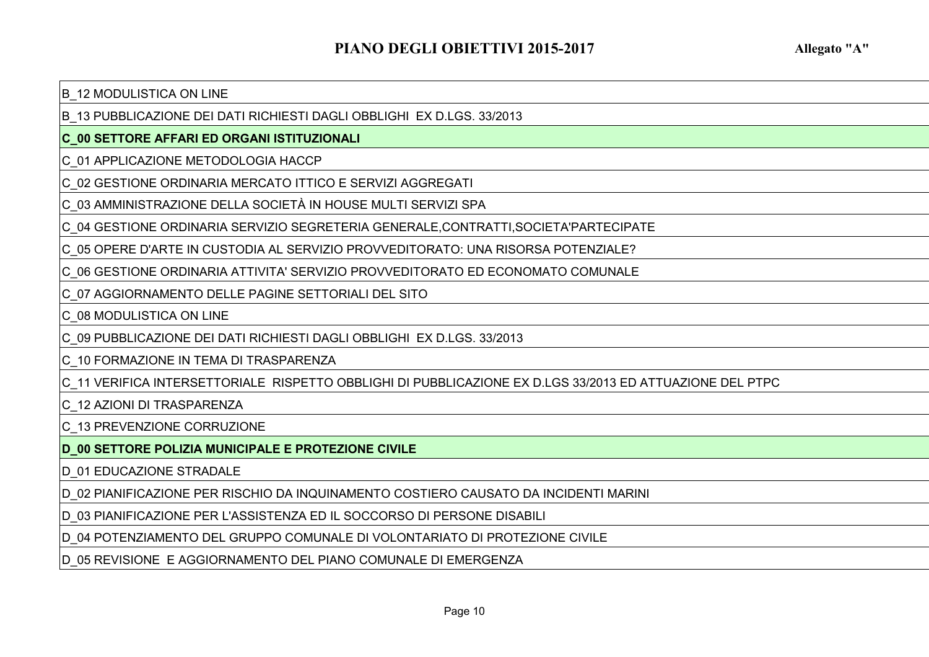### B\_12 MODULISTICA ON LINE

B\_13 PUBBLICAZIONE DEI DATI RICHIESTI DAGLI OBBLIGHI EX D.LGS. 33/2013

## **C\_00 SETTORE AFFARI ED ORGANI ISTITUZIONALI**

C\_01 APPLICAZIONE METODOLOGIA HACCP

C\_02 GESTIONE ORDINARIA MERCATO ITTICO E SERVIZI AGGREGATI

C\_03 AMMINISTRAZIONE DELLA SOCIETÀ IN HOUSE MULTI SERVIZI SPA

C\_04 GESTIONE ORDINARIA SERVIZIO SEGRETERIA GENERALE,CONTRATTI,SOCIETA'PARTECIPATE

C\_05 OPERE D'ARTE IN CUSTODIA AL SERVIZIO PROVVEDITORATO: UNA RISORSA POTENZIALE?

C\_06 GESTIONE ORDINARIA ATTIVITA' SERVIZIO PROVVEDITORATO ED ECONOMATO COMUNALE

C\_07 AGGIORNAMENTO DELLE PAGINE SETTORIALI DEL SITO

C\_08 MODULISTICA ON LINE

C\_09 PUBBLICAZIONE DEI DATI RICHIESTI DAGLI OBBLIGHI EX D.LGS. 33/2013

C\_10 FORMAZIONE IN TEMA DI TRASPARENZA

C\_11 VERIFICA INTERSETTORIALE RISPETTO OBBLIGHI DI PUBBLICAZIONE EX D.LGS 33/2013 ED ATTUAZIONE DEL PTPC

C\_12 AZIONI DI TRASPARENZA

C\_13 PREVENZIONE CORRUZIONE

**D\_00 SETTORE POLIZIA MUNICIPALE E PROTEZIONE CIVILE**

D\_01 EDUCAZIONE STRADALE

D\_02 PIANIFICAZIONE PER RISCHIO DA INQUINAMENTO COSTIERO CAUSATO DA INCIDENTI MARINI

D\_03 PIANIFICAZIONE PER L'ASSISTENZA ED IL SOCCORSO DI PERSONE DISABILI

D\_04 POTENZIAMENTO DEL GRUPPO COMUNALE DI VOLONTARIATO DI PROTEZIONE CIVILE

D\_05 REVISIONE E AGGIORNAMENTO DEL PIANO COMUNALE DI EMERGENZA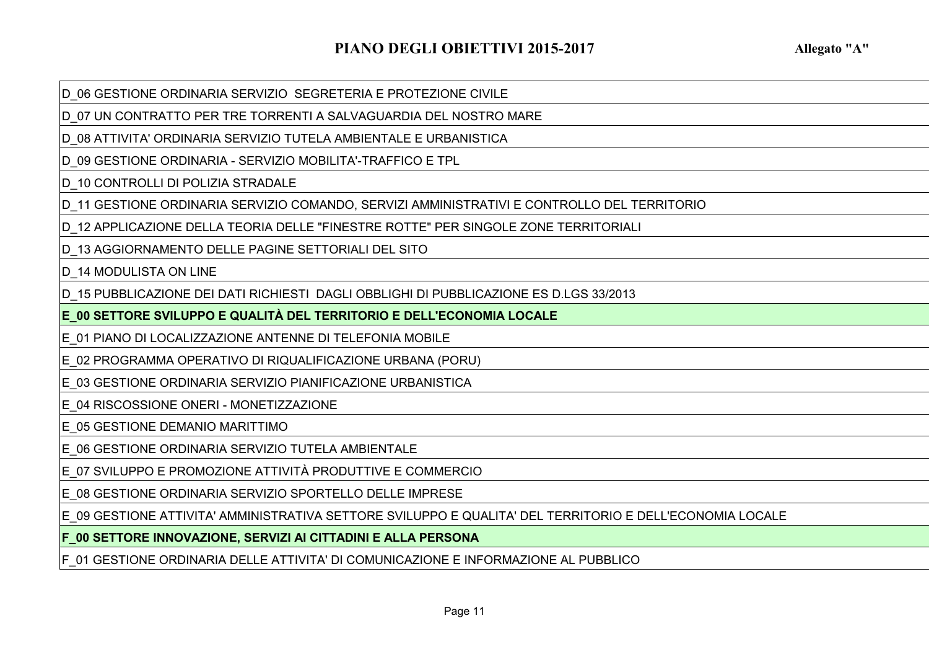D\_06 GESTIONE ORDINARIA SERVIZIO SEGRETERIA E PROTEZIONE CIVILE

D\_07 UN CONTRATTO PER TRE TORRENTI A SALVAGUARDIA DEL NOSTRO MARE

D\_08 ATTIVITA' ORDINARIA SERVIZIO TUTELA AMBIENTALE E URBANISTICA

D\_09 GESTIONE ORDINARIA - SERVIZIO MOBILITA'-TRAFFICO E TPL

D 10 CONTROLLI DI POLIZIA STRADALE

D\_11 GESTIONE ORDINARIA SERVIZIO COMANDO, SERVIZI AMMINISTRATIVI E CONTROLLO DEL TERRITORIO

D 12 APPLICAZIONE DELLA TEORIA DELLE "FINESTRE ROTTE" PER SINGOLE ZONE TERRITORIALI

D\_13 AGGIORNAMENTO DELLE PAGINE SETTORIALI DEL SITO

D 14 MODULISTA ON LINE

D\_15 PUBBLICAZIONE DEI DATI RICHIESTI DAGLI OBBLIGHI DI PUBBLICAZIONE ES D.LGS 33/2013

**E\_00 SETTORE SVILUPPO E QUALITÀ DEL TERRITORIO E DELL'ECONOMIA LOCALE**

E\_01 PIANO DI LOCALIZZAZIONE ANTENNE DI TELEFONIA MOBILE

E\_02 PROGRAMMA OPERATIVO DI RIQUALIFICAZIONE URBANA (PORU)

E\_03 GESTIONE ORDINARIA SERVIZIO PIANIFICAZIONE URBANISTICA

E\_04 RISCOSSIONE ONERI - MONETIZZAZIONE

E\_05 GESTIONE DEMANIO MARITTIMO

E\_06 GESTIONE ORDINARIA SERVIZIO TUTELA AMBIENTALE

E\_07 SVILUPPO E PROMOZIONE ATTIVITÀ PRODUTTIVE E COMMERCIO

E\_08 GESTIONE ORDINARIA SERVIZIO SPORTELLO DELLE IMPRESE

E\_09 GESTIONE ATTIVITA' AMMINISTRATIVA SETTORE SVILUPPO E QUALITA' DEL TERRITORIO E DELL'ECONOMIA LOCALE

**F\_00 SETTORE INNOVAZIONE, SERVIZI AI CITTADINI E ALLA PERSONA**

F\_01 GESTIONE ORDINARIA DELLE ATTIVITA' DI COMUNICAZIONE E INFORMAZIONE AL PUBBLICO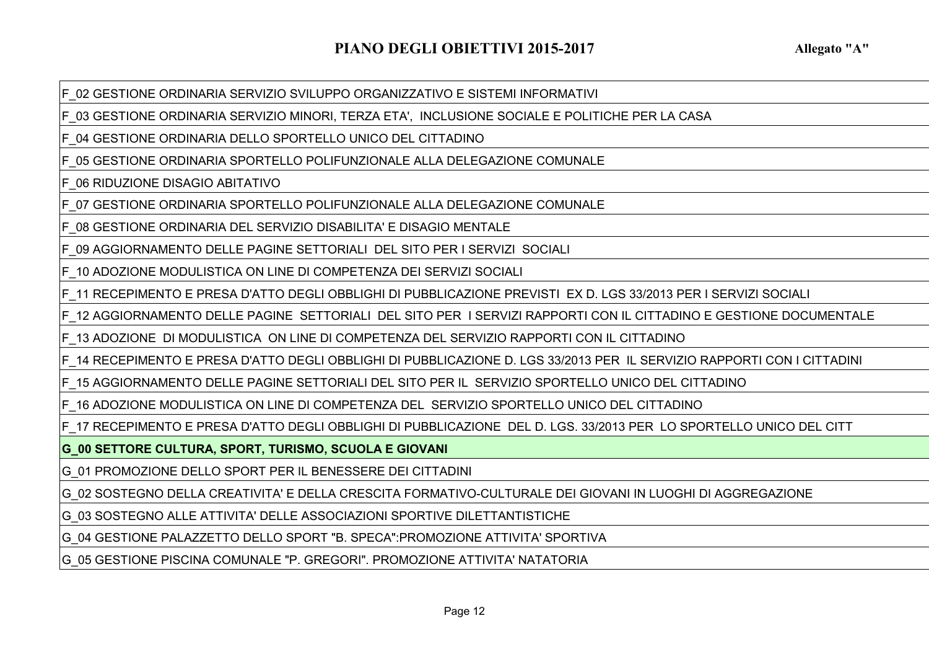F\_02 GESTIONE ORDINARIA SERVIZIO SVILUPPO ORGANIZZATIVO E SISTEMI INFORMATIVI

F\_03 GESTIONE ORDINARIA SERVIZIO MINORI, TERZA ETA', INCLUSIONE SOCIALE E POLITICHE PER LA CASA

F\_04 GESTIONE ORDINARIA DELLO SPORTELLO UNICO DEL CITTADINO

F\_05 GESTIONE ORDINARIA SPORTELLO POLIFUNZIONALE ALLA DELEGAZIONE COMUNALE

F\_06 RIDUZIONE DISAGIO ABITATIVO

F\_07 GESTIONE ORDINARIA SPORTELLO POLIFUNZIONALE ALLA DELEGAZIONE COMUNALE

F\_08 GESTIONE ORDINARIA DEL SERVIZIO DISABILITA' E DISAGIO MENTALE

F\_09 AGGIORNAMENTO DELLE PAGINE SETTORIALI DEL SITO PER I SERVIZI SOCIALI

F\_10 ADOZIONE MODULISTICA ON LINE DI COMPETENZA DEI SERVIZI SOCIALI

F\_11 RECEPIMENTO E PRESA D'ATTO DEGLI OBBLIGHI DI PUBBLICAZIONE PREVISTI EX D. LGS 33/2013 PER I SERVIZI SOCIALI

F\_12 AGGIORNAMENTO DELLE PAGINE SETTORIALI DEL SITO PER I SERVIZI RAPPORTI CON IL CITTADINO E GESTIONE DOCUMENTALE

F\_13 ADOZIONE DI MODULISTICA ON LINE DI COMPETENZA DEL SERVIZIO RAPPORTI CON IL CITTADINO

F\_14 RECEPIMENTO E PRESA D'ATTO DEGLI OBBLIGHI DI PUBBLICAZIONE D. LGS 33/2013 PER IL SERVIZIO RAPPORTI CON I CITTADINI

F\_15 AGGIORNAMENTO DELLE PAGINE SETTORIALI DEL SITO PER IL SERVIZIO SPORTELLO UNICO DEL CITTADINO

F\_16 ADOZIONE MODULISTICA ON LINE DI COMPETENZA DEL SERVIZIO SPORTELLO UNICO DEL CITTADINO

F\_17 RECEPIMENTO E PRESA D'ATTO DEGLI OBBLIGHI DI PUBBLICAZIONE DEL D. LGS. 33/2013 PER LO SPORTELLO UNICO DEL CITT

**G\_00 SETTORE CULTURA, SPORT, TURISMO, SCUOLA E GIOVANI**

G\_01 PROMOZIONE DELLO SPORT PER IL BENESSERE DEI CITTADINI

G\_02 SOSTEGNO DELLA CREATIVITA' E DELLA CRESCITA FORMATIVO-CULTURALE DEI GIOVANI IN LUOGHI DI AGGREGAZIONE

G\_03 SOSTEGNO ALLE ATTIVITA' DELLE ASSOCIAZIONI SPORTIVE DILETTANTISTICHE

G\_04 GESTIONE PALAZZETTO DELLO SPORT "B. SPECA":PROMOZIONE ATTIVITA' SPORTIVA

G\_05 GESTIONE PISCINA COMUNALE "P. GREGORI". PROMOZIONE ATTIVITA' NATATORIA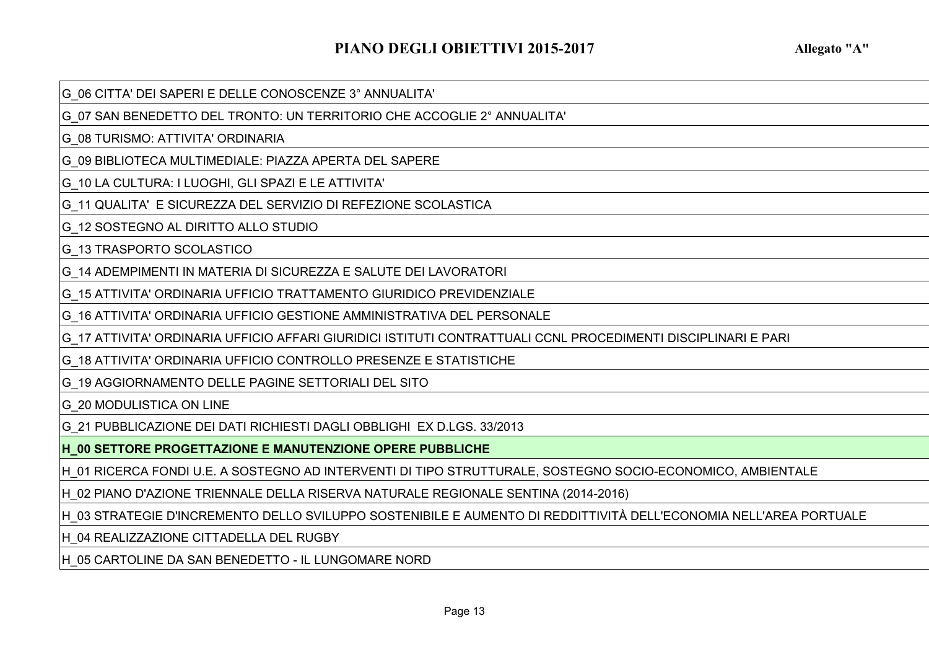G\_06 CITTA' DEI SAPERI E DELLE CONOSCENZE 3° ANNUALITA'

G\_07 SAN BENEDETTO DEL TRONTO: UN TERRITORIO CHE ACCOGLIE 2° ANNUALITA'

G\_08 TURISMO: ATTIVITA' ORDINARIA

G\_09 BIBLIOTECA MULTIMEDIALE: PIAZZA APERTA DEL SAPERE

G\_10 LA CULTURA: I LUOGHI, GLI SPAZI E LE ATTIVITA'

G\_11 QUALITA' E SICUREZZA DEL SERVIZIO DI REFEZIONE SCOLASTICA

G\_12 SOSTEGNO AL DIRITTO ALLO STUDIO

G\_13 TRASPORTO SCOLASTICO

G\_14 ADEMPIMENTI IN MATERIA DI SICUREZZA E SALUTE DEI LAVORATORI

G\_15 ATTIVITA' ORDINARIA UFFICIO TRATTAMENTO GIURIDICO PREVIDENZIALE

G\_16 ATTIVITA' ORDINARIA UFFICIO GESTIONE AMMINISTRATIVA DEL PERSONALE

G\_17 ATTIVITA' ORDINARIA UFFICIO AFFARI GIURIDICI ISTITUTI CONTRATTUALI CCNL PROCEDIMENTI DISCIPLINARI E PARI

G\_18 ATTIVITA' ORDINARIA UFFICIO CONTROLLO PRESENZE E STATISTICHE

G\_19 AGGIORNAMENTO DELLE PAGINE SETTORIALI DEL SITO

**G\_20 MODULISTICA ON LINE** 

G\_21 PUBBLICAZIONE DEI DATI RICHIESTI DAGLI OBBLIGHI EX D.LGS. 33/2013

**H\_00 SETTORE PROGETTAZIONE E MANUTENZIONE OPERE PUBBLICHE**

H\_01 RICERCA FONDI U.E. A SOSTEGNO AD INTERVENTI DI TIPO STRUTTURALE, SOSTEGNO SOCIO-ECONOMICO, AMBIENTALE

H\_02 PIANO D'AZIONE TRIENNALE DELLA RISERVA NATURALE REGIONALE SENTINA (2014-2016)

H\_03 STRATEGIE D'INCREMENTO DELLO SVILUPPO SOSTENIBILE E AUMENTO DI REDDITTIVITÀ DELL'ECONOMIA NELL'AREA PORTUALE

H\_04 REALIZZAZIONE CITTADELLA DEL RUGBY

H\_05 CARTOLINE DA SAN BENEDETTO - IL LUNGOMARE NORD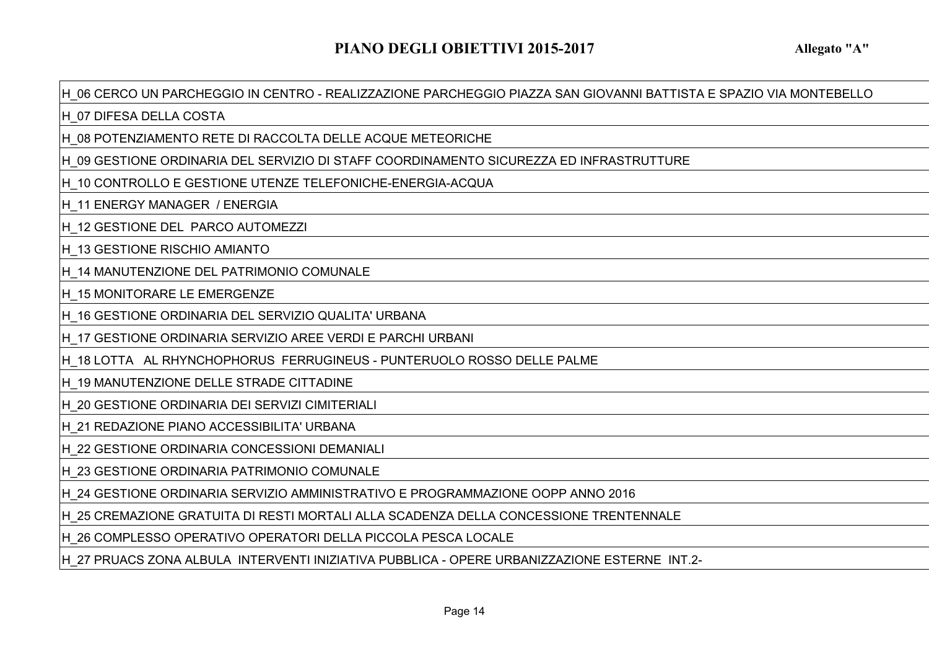### H\_06 CERCO UN PARCHEGGIO IN CENTRO - REALIZZAZIONE PARCHEGGIO PIAZZA SAN GIOVANNI BATTISTA E SPAZIO VIA MONTEBELLO

H\_07 DIFESA DELLA COSTA

H\_08 POTENZIAMENTO RETE DI RACCOLTA DELLE ACQUE METEORICHE

H\_09 GESTIONE ORDINARIA DEL SERVIZIO DI STAFF COORDINAMENTO SICUREZZA ED INFRASTRUTTURE

H\_10 CONTROLLO E GESTIONE UTENZE TELEFONICHE-ENERGIA-ACQUA

H\_11 ENERGY MANAGER / ENERGIA

H\_12 GESTIONE DEL PARCO AUTOMEZZI

H\_13 GESTIONE RISCHIO AMIANTO

H\_14 MANUTENZIONE DEL PATRIMONIO COMUNALE

H 15 MONITORARE LE EMERGENZE

H\_16 GESTIONE ORDINARIA DEL SERVIZIO QUALITA' URBANA

H\_17 GESTIONE ORDINARIA SERVIZIO AREE VERDI E PARCHI URBANI

H\_18 LOTTA AL RHYNCHOPHORUS FERRUGINEUS - PUNTERUOLO ROSSO DELLE PALME

H\_19 MANUTENZIONE DELLE STRADE CITTADINE

H\_20 GESTIONE ORDINARIA DEI SERVIZI CIMITERIALI

H\_21 REDAZIONE PIANO ACCESSIBILITA' URBANA

H\_22 GESTIONE ORDINARIA CONCESSIONI DEMANIALI

H\_23 GESTIONE ORDINARIA PATRIMONIO COMUNALE

H\_24 GESTIONE ORDINARIA SERVIZIO AMMINISTRATIVO E PROGRAMMAZIONE OOPP ANNO 2016

H\_25 CREMAZIONE GRATUITA DI RESTI MORTALI ALLA SCADENZA DELLA CONCESSIONE TRENTENNALE

H\_26 COMPLESSO OPERATIVO OPERATORI DELLA PICCOLA PESCA LOCALE

H\_27 PRUACS ZONA ALBULA INTERVENTI INIZIATIVA PUBBLICA - OPERE URBANIZZAZIONE ESTERNE INT.2-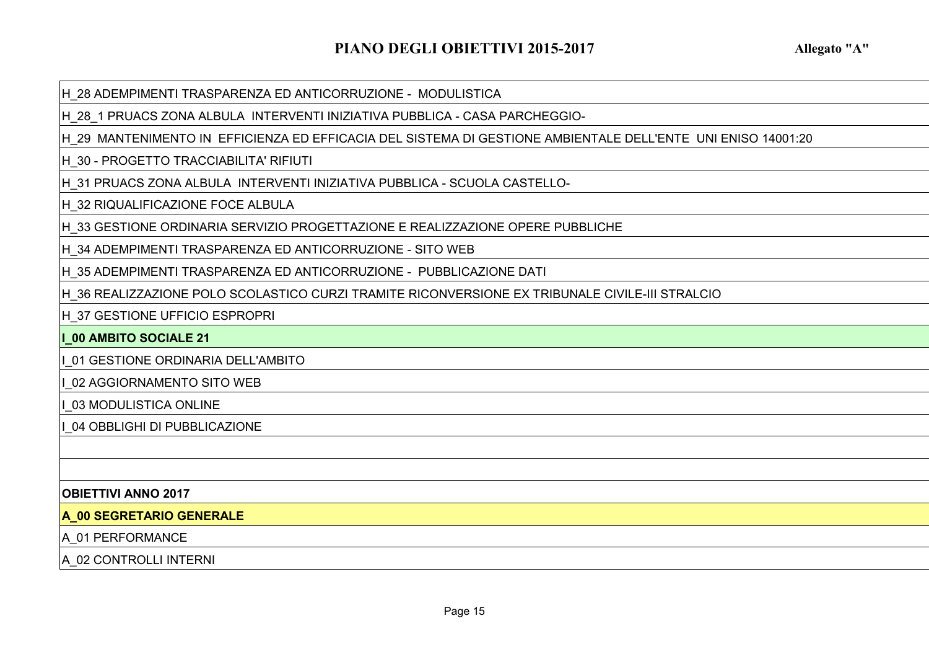H\_28 ADEMPIMENTI TRASPARENZA ED ANTICORRUZIONE - MODULISTICA

H\_28\_1 PRUACS ZONA ALBULA INTERVENTI INIZIATIVA PUBBLICA - CASA PARCHEGGIO-

H\_29 MANTENIMENTO IN EFFICIENZA ED EFFICACIA DEL SISTEMA DI GESTIONE AMBIENTALE DELL'ENTE UNI ENISO 14001:20

H\_30 - PROGETTO TRACCIABILITA' RIFIUTI

H\_31 PRUACS ZONA ALBULA INTERVENTI INIZIATIVA PUBBLICA - SCUOLA CASTELLO-

H\_32 RIQUALIFICAZIONE FOCE ALBULA

H\_33 GESTIONE ORDINARIA SERVIZIO PROGETTAZIONE E REALIZZAZIONE OPERE PUBBLICHE

H\_34 ADEMPIMENTI TRASPARENZA ED ANTICORRUZIONE - SITO WEB

H\_35 ADEMPIMENTI TRASPARENZA ED ANTICORRUZIONE - PUBBLICAZIONE DATI

H\_36 REALIZZAZIONE POLO SCOLASTICO CURZI TRAMITE RICONVERSIONE EX TRIBUNALE CIVILE-III STRALCIO

H\_37 GESTIONE UFFICIO ESPROPRI

**I\_00 AMBITO SOCIALE 21**

I\_01 GESTIONE ORDINARIA DELL'AMBITO

I\_02 AGGIORNAMENTO SITO WEB

I\_03 MODULISTICA ONLINE

I\_04 OBBLIGHI DI PUBBLICAZIONE

### **OBIETTIVI ANNO 2017**

**A\_00 SEGRETARIO GENERALE**

### A 01 PERFORMANCE

A\_02 CONTROLLI INTERNI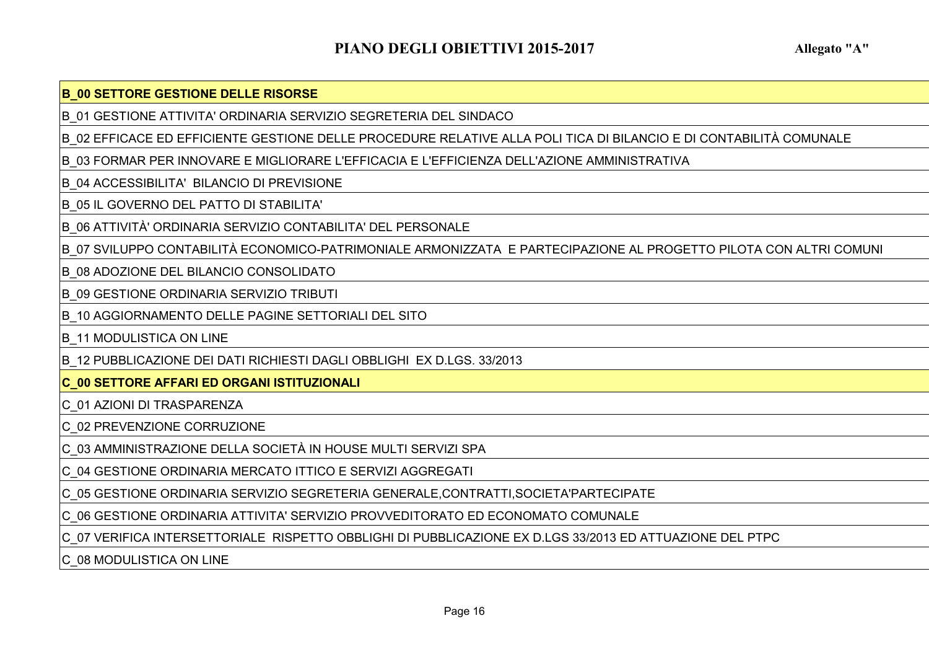### **B\_00 SETTORE GESTIONE DELLE RISORSE**

B\_01 GESTIONE ATTIVITA' ORDINARIA SERVIZIO SEGRETERIA DEL SINDACO

B\_02 EFFICACE ED EFFICIENTE GESTIONE DELLE PROCEDURE RELATIVE ALLA POLI TICA DI BILANCIO E DI CONTABILITÀ COMUNALE

B\_03 FORMAR PER INNOVARE E MIGLIORARE L'EFFICACIA E L'EFFICIENZA DELL'AZIONE AMMINISTRATIVA

B\_04 ACCESSIBILITA' BILANCIO DI PREVISIONE

B\_05 IL GOVERNO DEL PATTO DI STABILITA'

B\_06 ATTIVITÀ' ORDINARIA SERVIZIO CONTABILITA' DEL PERSONALE

B\_07 SVILUPPO CONTABILITÀ ECONOMICO-PATRIMONIALE ARMONIZZATA E PARTECIPAZIONE AL PROGETTO PILOTA CON ALTRI COMUNI

B\_08 ADOZIONE DEL BILANCIO CONSOLIDATO

B\_09 GESTIONE ORDINARIA SERVIZIO TRIBUTI

B\_10 AGGIORNAMENTO DELLE PAGINE SETTORIALI DEL SITO

**B\_11 MODULISTICA ON LINE** 

B\_12 PUBBLICAZIONE DEI DATI RICHIESTI DAGLI OBBLIGHI EX D.LGS. 33/2013

# **C\_00 SETTORE AFFARI ED ORGANI ISTITUZIONALI**

C\_01 AZIONI DI TRASPARENZA

C\_02 PREVENZIONE CORRUZIONE

C\_03 AMMINISTRAZIONE DELLA SOCIETÀ IN HOUSE MULTI SERVIZI SPA

C\_04 GESTIONE ORDINARIA MERCATO ITTICO E SERVIZI AGGREGATI

C\_05 GESTIONE ORDINARIA SERVIZIO SEGRETERIA GENERALE,CONTRATTI,SOCIETA'PARTECIPATE

C\_06 GESTIONE ORDINARIA ATTIVITA' SERVIZIO PROVVEDITORATO ED ECONOMATO COMUNALE

C\_07 VERIFICA INTERSETTORIALE RISPETTO OBBLIGHI DI PUBBLICAZIONE EX D.LGS 33/2013 ED ATTUAZIONE DEL PTPC

C\_08 MODULISTICA ON LINE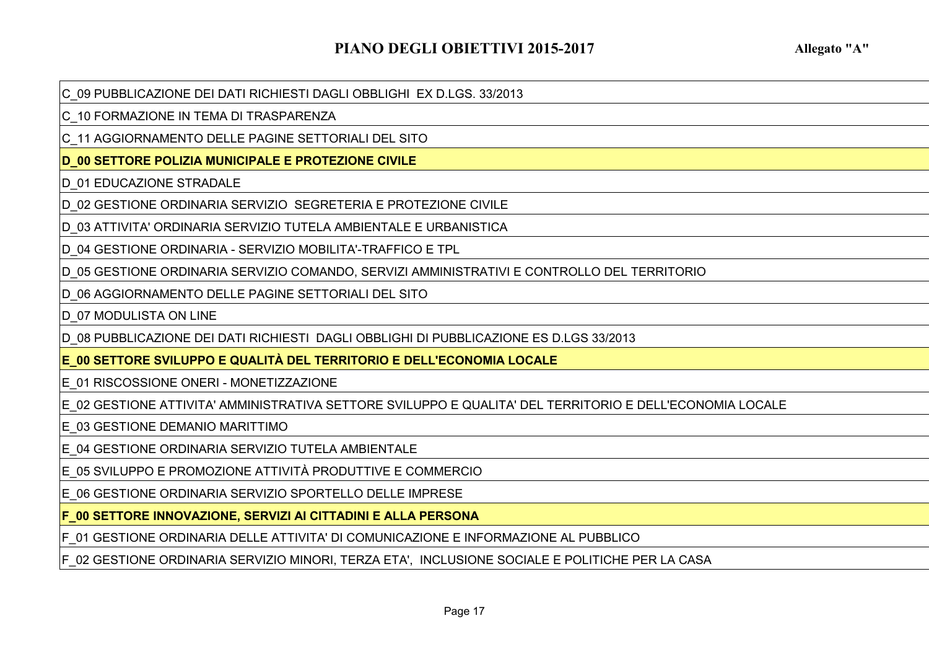C\_09 PUBBLICAZIONE DEI DATI RICHIESTI DAGLI OBBLIGHI EX D.LGS. 33/2013

C\_10 FORMAZIONE IN TEMA DI TRASPARENZA

C\_11 AGGIORNAMENTO DELLE PAGINE SETTORIALI DEL SITO

**D\_00 SETTORE POLIZIA MUNICIPALE E PROTEZIONE CIVILE**

D\_01 EDUCAZIONE STRADALE

D\_02 GESTIONE ORDINARIA SERVIZIO SEGRETERIA E PROTEZIONE CIVILE

D\_03 ATTIVITA' ORDINARIA SERVIZIO TUTELA AMBIENTALE E URBANISTICA

D\_04 GESTIONE ORDINARIA - SERVIZIO MOBILITA'-TRAFFICO E TPL

D\_05 GESTIONE ORDINARIA SERVIZIO COMANDO, SERVIZI AMMINISTRATIVI E CONTROLLO DEL TERRITORIO

D\_06 AGGIORNAMENTO DELLE PAGINE SETTORIALI DEL SITO

D\_07 MODULISTA ON LINE

D\_08 PUBBLICAZIONE DEI DATI RICHIESTI DAGLI OBBLIGHI DI PUBBLICAZIONE ES D.LGS 33/2013

**E\_00 SETTORE SVILUPPO E QUALITÀ DEL TERRITORIO E DELL'ECONOMIA LOCALE**

E\_01 RISCOSSIONE ONERI - MONETIZZAZIONE

E\_02 GESTIONE ATTIVITA' AMMINISTRATIVA SETTORE SVILUPPO E QUALITA' DEL TERRITORIO E DELL'ECONOMIA LOCALE

E\_03 GESTIONE DEMANIO MARITTIMO

E\_04 GESTIONE ORDINARIA SERVIZIO TUTELA AMBIENTALE

E\_05 SVILUPPO E PROMOZIONE ATTIVITÀ PRODUTTIVE E COMMERCIO

E\_06 GESTIONE ORDINARIA SERVIZIO SPORTELLO DELLE IMPRESE

**F\_00 SETTORE INNOVAZIONE, SERVIZI AI CITTADINI E ALLA PERSONA**

F\_01 GESTIONE ORDINARIA DELLE ATTIVITA' DI COMUNICAZIONE E INFORMAZIONE AL PUBBLICO

F\_02 GESTIONE ORDINARIA SERVIZIO MINORI, TERZA ETA', INCLUSIONE SOCIALE E POLITICHE PER LA CASA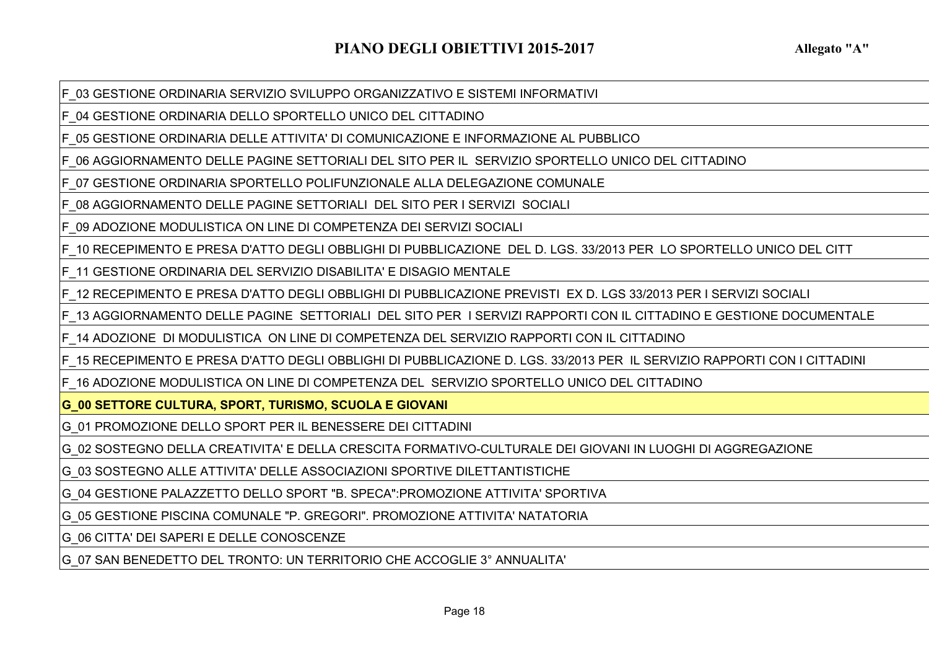F\_03 GESTIONE ORDINARIA SERVIZIO SVILUPPO ORGANIZZATIVO E SISTEMI INFORMATIVI

F\_04 GESTIONE ORDINARIA DELLO SPORTELLO UNICO DEL CITTADINO

F\_05 GESTIONE ORDINARIA DELLE ATTIVITA' DI COMUNICAZIONE E INFORMAZIONE AL PUBBLICO

F\_06 AGGIORNAMENTO DELLE PAGINE SETTORIALI DEL SITO PER IL SERVIZIO SPORTELLO UNICO DEL CITTADINO

F\_07 GESTIONE ORDINARIA SPORTELLO POLIFUNZIONALE ALLA DELEGAZIONE COMUNALE

F\_08 AGGIORNAMENTO DELLE PAGINE SETTORIALI DEL SITO PER I SERVIZI SOCIALI

F\_09 ADOZIONE MODULISTICA ON LINE DI COMPETENZA DEI SERVIZI SOCIALI

F\_10 RECEPIMENTO E PRESA D'ATTO DEGLI OBBLIGHI DI PUBBLICAZIONE DEL D. LGS. 33/2013 PER LO SPORTELLO UNICO DEL CITT

F\_11 GESTIONE ORDINARIA DEL SERVIZIO DISABILITA' E DISAGIO MENTALE

F\_12 RECEPIMENTO E PRESA D'ATTO DEGLI OBBLIGHI DI PUBBLICAZIONE PREVISTI EX D. LGS 33/2013 PER I SERVIZI SOCIALI

F\_13 AGGIORNAMENTO DELLE PAGINE SETTORIALI DEL SITO PER I SERVIZI RAPPORTI CON IL CITTADINO E GESTIONE DOCUMENTALE

F\_14 ADOZIONE DI MODULISTICA ON LINE DI COMPETENZA DEL SERVIZIO RAPPORTI CON IL CITTADINO

F\_15 RECEPIMENTO E PRESA D'ATTO DEGLI OBBLIGHI DI PUBBLICAZIONE D. LGS. 33/2013 PER IL SERVIZIO RAPPORTI CON I CITTADINI

F\_16 ADOZIONE MODULISTICA ON LINE DI COMPETENZA DEL SERVIZIO SPORTELLO UNICO DEL CITTADINO

**G\_00 SETTORE CULTURA, SPORT, TURISMO, SCUOLA E GIOVANI**

G\_01 PROMOZIONE DELLO SPORT PER IL BENESSERE DEI CITTADINI

G\_02 SOSTEGNO DELLA CREATIVITA' E DELLA CRESCITA FORMATIVO-CULTURALE DEI GIOVANI IN LUOGHI DI AGGREGAZIONE

G\_03 SOSTEGNO ALLE ATTIVITA' DELLE ASSOCIAZIONI SPORTIVE DILETTANTISTICHE

G\_04 GESTIONE PALAZZETTO DELLO SPORT "B. SPECA":PROMOZIONE ATTIVITA' SPORTIVA

G\_05 GESTIONE PISCINA COMUNALE "P. GREGORI". PROMOZIONE ATTIVITA' NATATORIA

G\_06 CITTA' DEI SAPERI E DELLE CONOSCENZE

G\_07 SAN BENEDETTO DEL TRONTO: UN TERRITORIO CHE ACCOGLIE 3° ANNUALITA'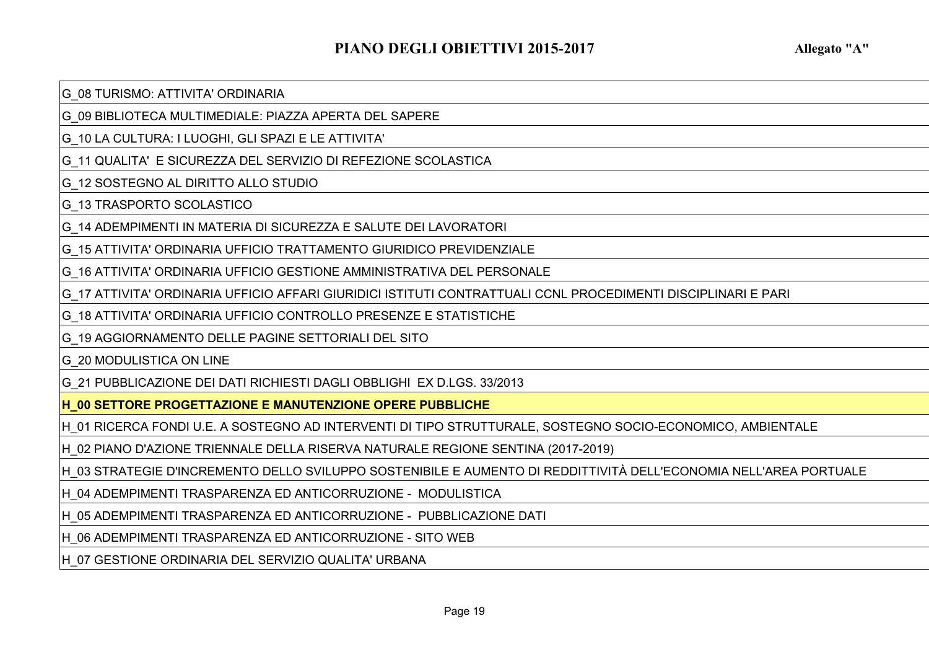G\_08 TURISMO: ATTIVITA' ORDINARIA

G\_09 BIBLIOTECA MULTIMEDIALE: PIAZZA APERTA DEL SAPERE

G\_10 LA CULTURA: I LUOGHI, GLI SPAZI E LE ATTIVITA'

G\_11 QUALITA' E SICUREZZA DEL SERVIZIO DI REFEZIONE SCOLASTICA

G\_12 SOSTEGNO AL DIRITTO ALLO STUDIO

G\_13 TRASPORTO SCOLASTICO

G\_14 ADEMPIMENTI IN MATERIA DI SICUREZZA E SALUTE DEI LAVORATORI

G\_15 ATTIVITA' ORDINARIA UFFICIO TRATTAMENTO GIURIDICO PREVIDENZIALE

G\_16 ATTIVITA' ORDINARIA UFFICIO GESTIONE AMMINISTRATIVA DEL PERSONALE

G\_17 ATTIVITA' ORDINARIA UFFICIO AFFARI GIURIDICI ISTITUTI CONTRATTUALI CCNL PROCEDIMENTI DISCIPLINARI E PARI

G\_18 ATTIVITA' ORDINARIA UFFICIO CONTROLLO PRESENZE E STATISTICHE

G\_19 AGGIORNAMENTO DELLE PAGINE SETTORIALI DEL SITO

G\_20 MODULISTICA ON LINE

G\_21 PUBBLICAZIONE DEI DATI RICHIESTI DAGLI OBBLIGHI EX D.LGS. 33/2013

**H\_00 SETTORE PROGETTAZIONE E MANUTENZIONE OPERE PUBBLICHE**

H\_01 RICERCA FONDI U.E. A SOSTEGNO AD INTERVENTI DI TIPO STRUTTURALE, SOSTEGNO SOCIO-ECONOMICO, AMBIENTALE

H\_02 PIANO D'AZIONE TRIENNALE DELLA RISERVA NATURALE REGIONE SENTINA (2017-2019)

H\_03 STRATEGIE D'INCREMENTO DELLO SVILUPPO SOSTENIBILE E AUMENTO DI REDDITTIVITÀ DELL'ECONOMIA NELL'AREA PORTUALE

H\_04 ADEMPIMENTI TRASPARENZA ED ANTICORRUZIONE - MODULISTICA

H\_05 ADEMPIMENTI TRASPARENZA ED ANTICORRUZIONE - PUBBLICAZIONE DATI

H\_06 ADEMPIMENTI TRASPARENZA ED ANTICORRUZIONE - SITO WEB

H\_07 GESTIONE ORDINARIA DEL SERVIZIO QUALITA' URBANA